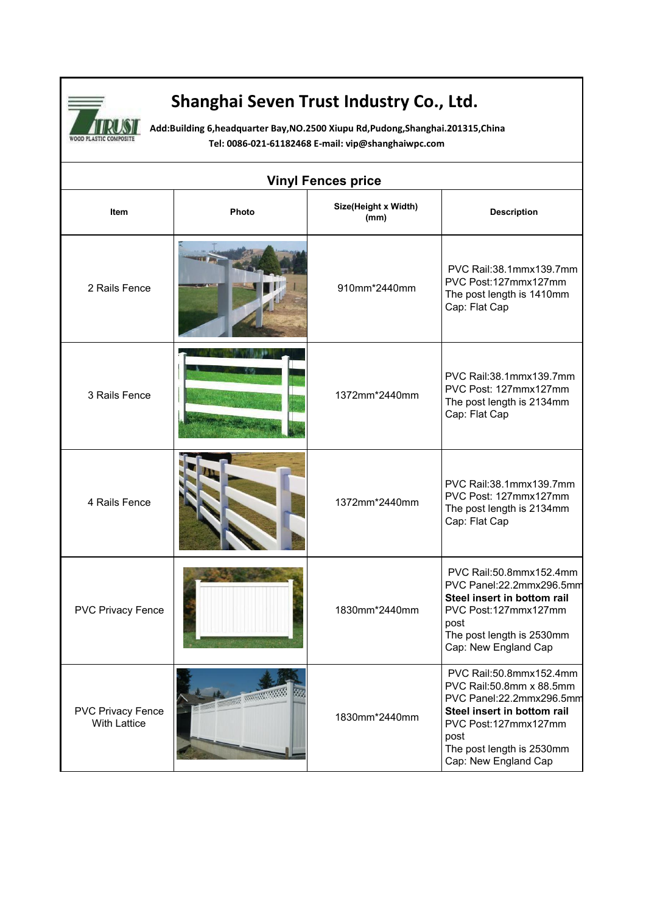

## **Shanghai Seven Trust Industry Co., Ltd.**

**Add:Building 6,headquarter Bay,NO.2500 Xiupu Rd,Pudong,Shanghai.201315,China Tel: 0086-021-61182468 E-mail: [vip@shanghaiwpc.com](mailto:miley@shanghaiwpc.com)**

| <b>Vinyl Fences price</b>                       |                          |                              |                                                                                                                                                                                                     |  |
|-------------------------------------------------|--------------------------|------------------------------|-----------------------------------------------------------------------------------------------------------------------------------------------------------------------------------------------------|--|
| Item                                            | Photo                    | Size(Height x Width)<br>(mm) | <b>Description</b>                                                                                                                                                                                  |  |
| 2 Rails Fence                                   |                          | 910mm*2440mm                 | PVC Rail:38.1mmx139.7mm<br>PVC Post:127mmx127mm<br>The post length is 1410mm<br>Cap: Flat Cap                                                                                                       |  |
| 3 Rails Fence                                   |                          | 1372mm*2440mm                | PVC Rail:38.1mmx139.7mm<br>PVC Post: 127mmx127mm<br>The post length is 2134mm<br>Cap: Flat Cap                                                                                                      |  |
| 4 Rails Fence                                   |                          | 1372mm*2440mm                | PVC Rail:38.1mmx139.7mm<br>PVC Post: 127mmx127mm<br>The post length is 2134mm<br>Cap: Flat Cap                                                                                                      |  |
| <b>PVC Privacy Fence</b>                        |                          | 1830mm*2440mm                | PVC Rail:50.8mmx152.4mm<br>PVC Panel:22.2mmx296.5mm<br>Steel insert in bottom rail<br>PVC Post:127mmx127mm<br>post<br>The post length is 2530mm<br>Cap: New England Cap                             |  |
| <b>PVC Privacy Fence</b><br><b>With Lattice</b> | <b>NATIONAL PROPERTY</b> | 1830mm*2440mm                | PVC Rail:50.8mmx152.4mm<br>PVC Rail:50.8mm x 88.5mm<br>PVC Panel:22.2mmx296.5mm<br>Steel insert in bottom rail<br>PVC Post:127mmx127mm<br>post<br>The post length is 2530mm<br>Cap: New England Cap |  |